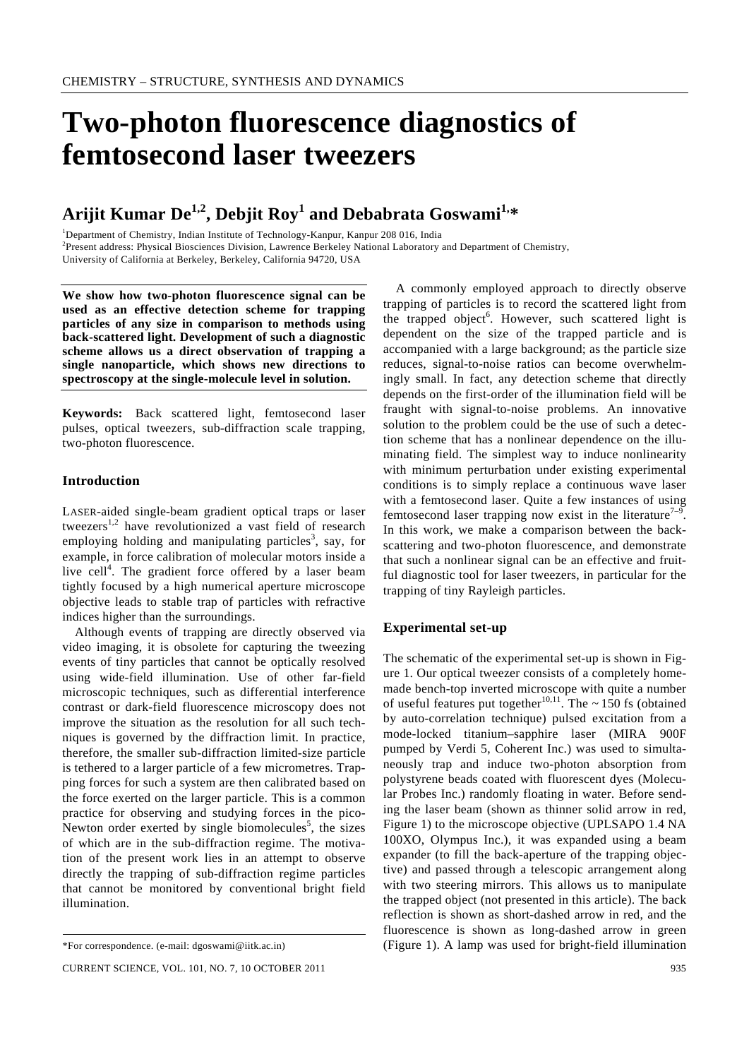# **Two-photon fluorescence diagnostics of femtosecond laser tweezers**

# **Arijit Kumar De1,2, Debjit Roy1 and Debabrata Goswami1,\***

<sup>1</sup>Department of Chemistry, Indian Institute of Technology-Kanpur, Kanpur 208 016, India<br><sup>2</sup>Present eddress: Physical Bioscionese Division, Laurence Berkeley Netional Laboratory <sup>2</sup>Present address: Physical Biosciences Division, Lawrence Berkeley National Laboratory and Department of Chemistry, University of California at Berkeley, Berkeley, California 94720, USA

**We show how two-photon fluorescence signal can be used as an effective detection scheme for trapping particles of any size in comparison to methods using back-scattered light. Development of such a diagnostic scheme allows us a direct observation of trapping a single nanoparticle, which shows new directions to spectroscopy at the single-molecule level in solution.** 

**Keywords:** Back scattered light, femtosecond laser pulses, optical tweezers, sub-diffraction scale trapping, two-photon fluorescence.

## **Introduction**

LASER-aided single-beam gradient optical traps or laser tweezers<sup>1,2</sup> have revolutionized a vast field of research employing holding and manipulating particles<sup>3</sup>, say, for example, in force calibration of molecular motors inside a live cell<sup>4</sup>. The gradient force offered by a laser beam tightly focused by a high numerical aperture microscope objective leads to stable trap of particles with refractive indices higher than the surroundings.

 Although events of trapping are directly observed via video imaging, it is obsolete for capturing the tweezing events of tiny particles that cannot be optically resolved using wide-field illumination. Use of other far-field microscopic techniques, such as differential interference contrast or dark-field fluorescence microscopy does not improve the situation as the resolution for all such techniques is governed by the diffraction limit. In practice, therefore, the smaller sub-diffraction limited-size particle is tethered to a larger particle of a few micrometres. Trapping forces for such a system are then calibrated based on the force exerted on the larger particle. This is a common practice for observing and studying forces in the pico-Newton order exerted by single biomolecules<sup>5</sup>, the sizes of which are in the sub-diffraction regime. The motivation of the present work lies in an attempt to observe directly the trapping of sub-diffraction regime particles that cannot be monitored by conventional bright field illumination.

 A commonly employed approach to directly observe trapping of particles is to record the scattered light from the trapped object<sup>6</sup>. However, such scattered light is dependent on the size of the trapped particle and is accompanied with a large background; as the particle size reduces, signal-to-noise ratios can become overwhelmingly small. In fact, any detection scheme that directly depends on the first-order of the illumination field will be fraught with signal-to-noise problems. An innovative solution to the problem could be the use of such a detection scheme that has a nonlinear dependence on the illuminating field. The simplest way to induce nonlinearity with minimum perturbation under existing experimental conditions is to simply replace a continuous wave laser with a femtosecond laser. Quite a few instances of using femtosecond laser trapping now exist in the literature<sup>7-9</sup>. In this work, we make a comparison between the backscattering and two-photon fluorescence, and demonstrate that such a nonlinear signal can be an effective and fruitful diagnostic tool for laser tweezers, in particular for the trapping of tiny Rayleigh particles.

#### **Experimental set-up**

The schematic of the experimental set-up is shown in Figure 1. Our optical tweezer consists of a completely homemade bench-top inverted microscope with quite a number of useful features put together<sup>10,11</sup>. The  $\sim$  150 fs (obtained by auto-correlation technique) pulsed excitation from a mode-locked titanium–sapphire laser (MIRA 900F pumped by Verdi 5, Coherent Inc.) was used to simultaneously trap and induce two-photon absorption from polystyrene beads coated with fluorescent dyes (Molecular Probes Inc.) randomly floating in water. Before sending the laser beam (shown as thinner solid arrow in red, Figure 1) to the microscope objective (UPLSAPO 1.4 NA 100XO, Olympus Inc.), it was expanded using a beam expander (to fill the back-aperture of the trapping objective) and passed through a telescopic arrangement along with two steering mirrors. This allows us to manipulate the trapped object (not presented in this article). The back reflection is shown as short-dashed arrow in red, and the fluorescence is shown as long-dashed arrow in green (Figure 1). A lamp was used for bright-field illumination

<sup>\*</sup>For correspondence. (e-mail: dgoswami@iitk.ac.in)

CURRENT SCIENCE, VOL. 101, NO. 7, 10 OCTOBER 2011 935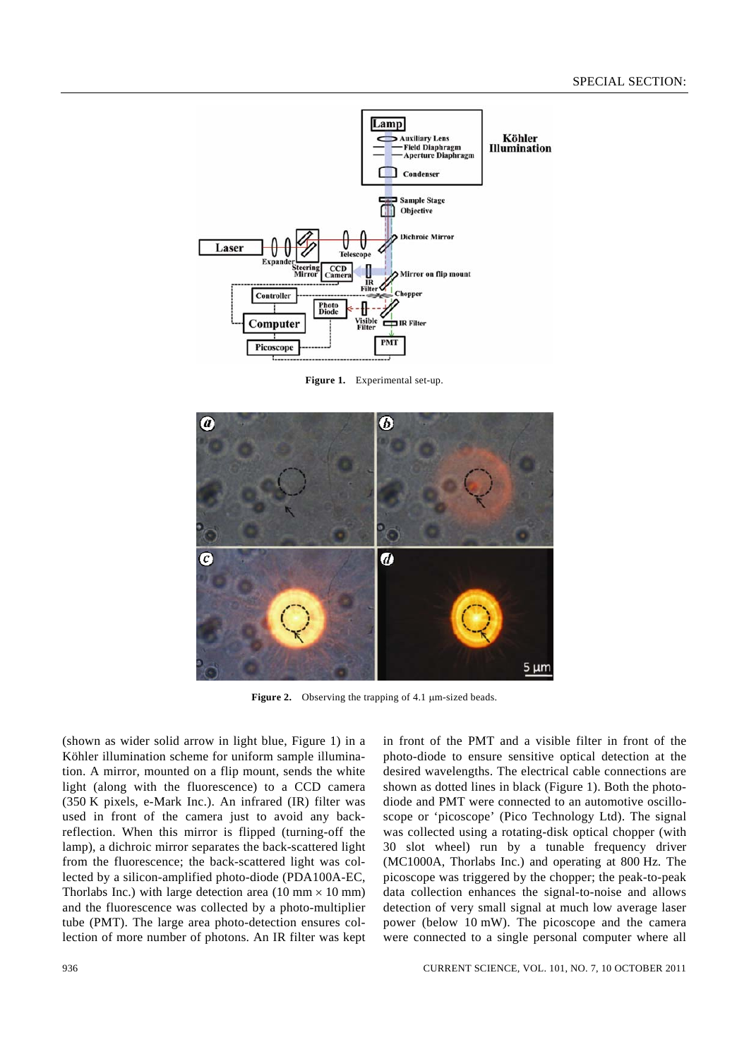

**Figure 1.** Experimental set-up.



**Figure 2.** Observing the trapping of 4.1 μm-sized beads.

(shown as wider solid arrow in light blue, Figure 1) in a Köhler illumination scheme for uniform sample illumination. A mirror, mounted on a flip mount, sends the white light (along with the fluorescence) to a CCD camera (350 K pixels, e-Mark Inc.). An infrared (IR) filter was used in front of the camera just to avoid any backreflection. When this mirror is flipped (turning-off the lamp), a dichroic mirror separates the back-scattered light from the fluorescence; the back-scattered light was collected by a silicon-amplified photo-diode (PDA100A-EC, Thorlabs Inc.) with large detection area  $(10 \text{ mm} \times 10 \text{ mm})$ and the fluorescence was collected by a photo-multiplier tube (PMT). The large area photo-detection ensures collection of more number of photons. An IR filter was kept in front of the PMT and a visible filter in front of the photo-diode to ensure sensitive optical detection at the desired wavelengths. The electrical cable connections are shown as dotted lines in black (Figure 1). Both the photodiode and PMT were connected to an automotive oscilloscope or 'picoscope' (Pico Technology Ltd). The signal was collected using a rotating-disk optical chopper (with 30 slot wheel) run by a tunable frequency driver (MC1000A, Thorlabs Inc.) and operating at 800 Hz. The picoscope was triggered by the chopper; the peak-to-peak data collection enhances the signal-to-noise and allows detection of very small signal at much low average laser power (below 10 mW). The picoscope and the camera were connected to a single personal computer where all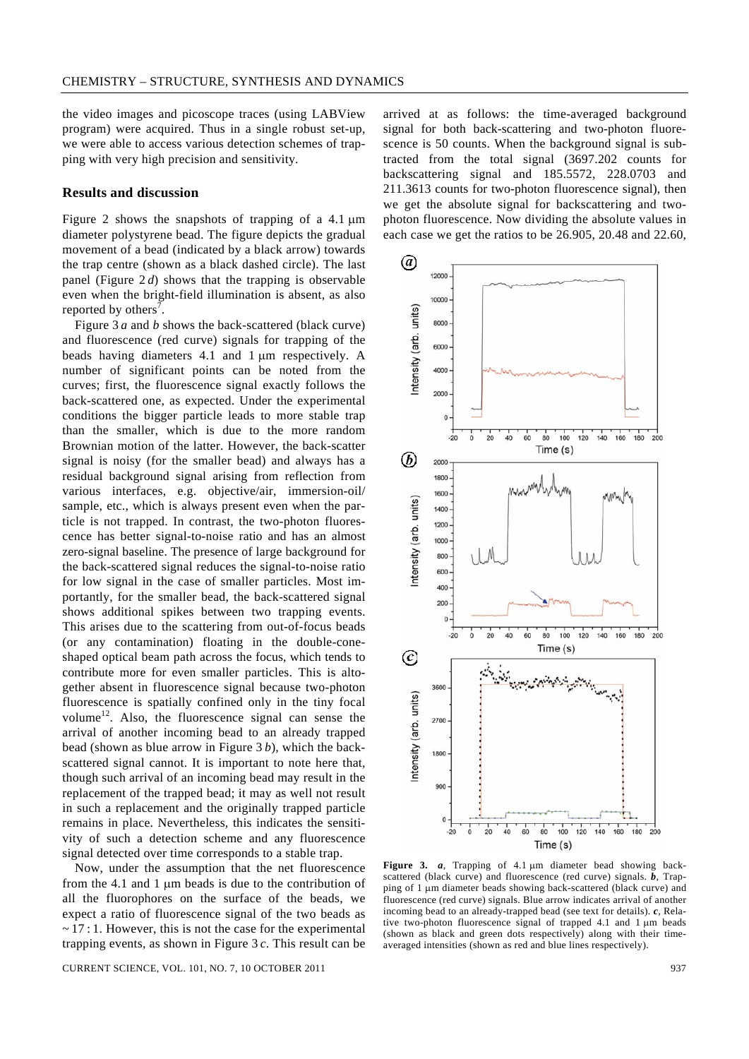the video images and picoscope traces (using LABView program) were acquired. Thus in a single robust set-up, we were able to access various detection schemes of trapping with very high precision and sensitivity.

#### **Results and discussion**

Figure 2 shows the snapshots of trapping of a 4.1 μm diameter polystyrene bead. The figure depicts the gradual movement of a bead (indicated by a black arrow) towards the trap centre (shown as a black dashed circle). The last panel (Figure 2 *d*) shows that the trapping is observable even when the bright-field illumination is absent, as also reported by others<sup>7</sup>.

 Figure 3 *a* and *b* shows the back-scattered (black curve) and fluorescence (red curve) signals for trapping of the beads having diameters 4.1 and 1 μm respectively. A number of significant points can be noted from the curves; first, the fluorescence signal exactly follows the back-scattered one, as expected. Under the experimental conditions the bigger particle leads to more stable trap than the smaller, which is due to the more random Brownian motion of the latter. However, the back-scatter signal is noisy (for the smaller bead) and always has a residual background signal arising from reflection from various interfaces, e.g. objective/air, immersion-oil/ sample, etc., which is always present even when the particle is not trapped. In contrast, the two-photon fluorescence has better signal-to-noise ratio and has an almost zero-signal baseline. The presence of large background for the back-scattered signal reduces the signal-to-noise ratio for low signal in the case of smaller particles. Most importantly, for the smaller bead, the back-scattered signal shows additional spikes between two trapping events. This arises due to the scattering from out-of-focus beads (or any contamination) floating in the double-coneshaped optical beam path across the focus, which tends to contribute more for even smaller particles. This is altogether absent in fluorescence signal because two-photon fluorescence is spatially confined only in the tiny focal volume<sup>12</sup>. Also, the fluorescence signal can sense the arrival of another incoming bead to an already trapped bead (shown as blue arrow in Figure 3 *b*), which the backscattered signal cannot. It is important to note here that, though such arrival of an incoming bead may result in the replacement of the trapped bead; it may as well not result in such a replacement and the originally trapped particle remains in place. Nevertheless, this indicates the sensitivity of such a detection scheme and any fluorescence signal detected over time corresponds to a stable trap.

 Now, under the assumption that the net fluorescence from the 4.1 and 1 μm beads is due to the contribution of all the fluorophores on the surface of the beads, we expect a ratio of fluorescence signal of the two beads as  $\sim$  17 : 1. However, this is not the case for the experimental trapping events, as shown in Figure 3 *c*. This result can be

CURRENT SCIENCE, VOL. 101, NO. 7, 10 OCTOBER 2011 937

arrived at as follows: the time-averaged background signal for both back-scattering and two-photon fluorescence is 50 counts. When the background signal is subtracted from the total signal (3697.202 counts for backscattering signal and 185.5572, 228.0703 and 211.3613 counts for two-photon fluorescence signal), then we get the absolute signal for backscattering and twophoton fluorescence. Now dividing the absolute values in each case we get the ratios to be 26.905, 20.48 and 22.60,



**Figure 3.** *a*, Trapping of 4.1 μm diameter bead showing backscattered (black curve) and fluorescence (red curve) signals. *b*, Trapping of 1 μm diameter beads showing back-scattered (black curve) and fluorescence (red curve) signals. Blue arrow indicates arrival of another incoming bead to an already-trapped bead (see text for details). *c*, Relative two-photon fluorescence signal of trapped 4.1 and 1 μm beads (shown as black and green dots respectively) along with their timeaveraged intensities (shown as red and blue lines respectively).